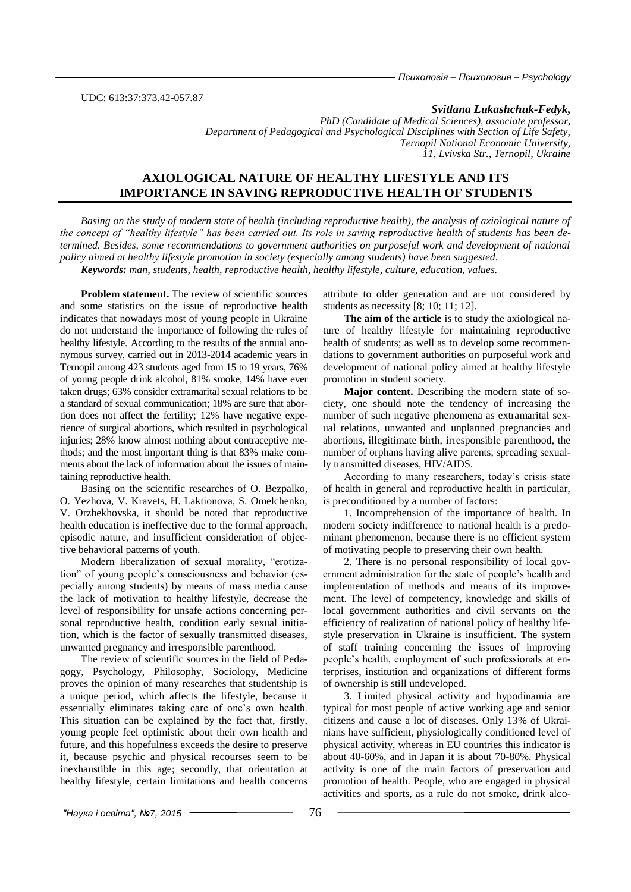UDC: 613:37:373.42-057.87

#### *Svitlana Lukashchuk-Fedyk,*

*PhD (Candidate of Medical Sciences), associate professor, Department of Pedagogical and Psychological Disciplines with Section of Life Safety, Ternopil National Economic University, 11, Lvivska Str., Ternopil, Ukraine* 

# **AXIOLOGICAL NATURE OF HEALTHY LIFESTYLE AND ITS IMPORTANCE IN SAVING REPRODUCTIVE HEALTH OF STUDENTS**

*Basing on the study of modern state of health (including reproductive health), the analysis of axiological nature of the concept of "healthy lifestyle" has been carried out. Its role in saving reproductive health of students has been determined. Besides, some recommendations to government authorities on purposeful work and development of national policy aimed at healthy lifestyle promotion in society (especially among students) have been suggested. Keywords: man, students, health, reproductive health, healthy lifestyle, culture, education, values.* 

**Problem statement.** The review of scientific sources and some statistics on the issue of reproductive health indicates that nowadays most of young people in Ukraine do not understand the importance of following the rules of healthy lifestyle. According to the results of the annual anonymous survey, carried out in 2013-2014 academic years in Ternopil among 423 students aged from 15 to 19 years, 76% of young people drink alcohol, 81% smoke, 14% have ever taken drugs; 63% consider extramarital sexual relations to be a standard of sexual communication; 18% are sure that abortion does not affect the fertility; 12% have negative experience of surgical abortions, which resulted in psychological injuries; 28% know almost nothing about contraceptive methods; and the most important thing is that 83% make comments about the lack of information about the issues of maintaining reproductive health.

Basing on the scientific researches of O. Bezpalko, O. Yezhova, V. Kravets, H. Laktionova, S. Omelchenko, V. Orzhekhovska, it should be noted that reproductive health education is ineffective due to the formal approach, episodic nature, and insufficient consideration of objective behavioral patterns of youth.

Modern liberalization of sexual morality, "erotization" of young people's consciousness and behavior (especially among students) by means of mass media cause the lack of motivation to healthy lifestyle, decrease the level of responsibility for unsafe actions concerning personal reproductive health, condition early sexual initiation, which is the factor of sexually transmitted diseases, unwanted pregnancy and irresponsible parenthood.

The review of scientific sources in the field of Pedagogy, Psychology, Philosophy, Sociology, Medicine proves the opinion of many researches that studentship is a unique period, which affects the lifestyle, because it essentially eliminates taking care of one's own health. This situation can be explained by the fact that, firstly, young people feel optimistic about their own health and future, and this hopefulness exceeds the desire to preserve it, because psychic and physical recourses seem to be inexhaustible in this age; secondly, that orientation at healthy lifestyle, certain limitations and health concerns

attribute to older generation and are not considered by students as necessity [8; 10; 11; 12].

**The aim of the article** is to study the axiological nature of healthy lifestyle for maintaining reproductive health of students; as well as to develop some recommendations to government authorities on purposeful work and development of national policy aimed at healthy lifestyle promotion in student society.

**Major content.** Describing the modern state of society, one should note the tendency of increasing the number of such negative phenomena as extramarital sexual relations, unwanted and unplanned pregnancies and abortions, illegitimate birth, irresponsible parenthood, the number of orphans having alive parents, spreading sexually transmitted diseases, HIV/AIDS.

According to many researchers, today's crisis state of health in general and reproductive health in particular, is preconditioned by a number of factors:

1. Incomprehension of the importance of health. In modern society indifference to national health is a predominant phenomenon, because there is no efficient system of motivating people to preserving their own health.

2. There is no personal responsibility of local government administration for the state of people's health and implementation of methods and means of its improvement. The level of competency, knowledge and skills of local government authorities and civil servants on the efficiency of realization of national policy of healthy lifestyle preservation in Ukraine is insufficient. The system of staff training concerning the issues of improving people's health, employment of such professionals at enterprises, institution and organizations of different forms of ownership is still undeveloped.

3. Limited physical activity and hypodinamia are typical for most people of active working age and senior citizens and cause a lot of diseases. Only 13% of Ukrainians have sufficient, physiologically conditioned level of physical activity, whereas in EU countries this indicator is about 40-60%, and in Japan it is about 70-80%. Physical activity is one of the main factors of preservation and promotion of health. People, who are engaged in physical activities and sports, as a rule do not smoke, drink alco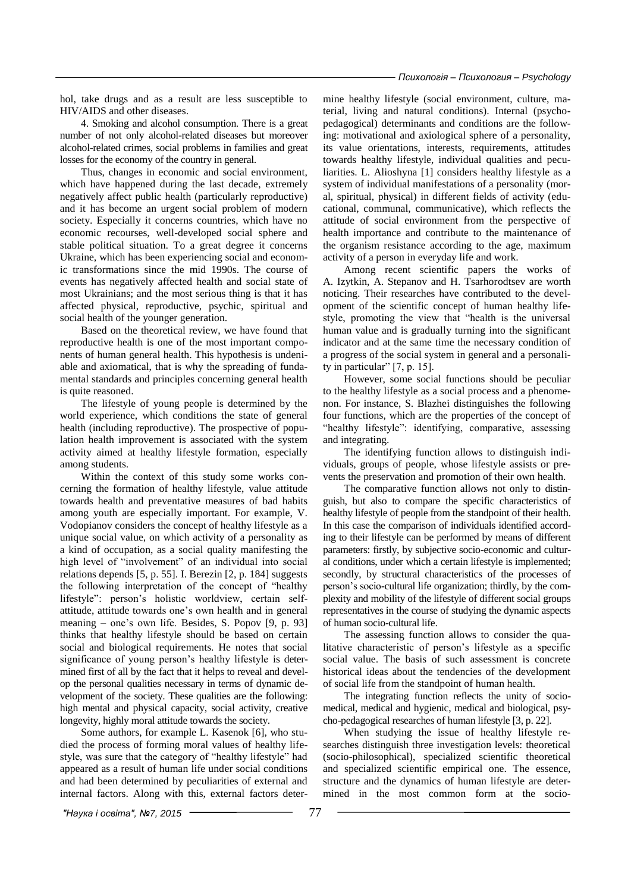hol, take drugs and as a result are less susceptible to HIV/AIDS and other diseases.

4. Smoking and alcohol consumption. There is a great number of not only alcohol-related diseases but moreover alcohol-related crimes, social problems in families and great losses for the economy of the country in general.

Thus, changes in economic and social environment, which have happened during the last decade, extremely negatively affect public health (particularly reproductive) and it has become an urgent social problem of modern society. Especially it concerns countries, which have no economic recourses, well-developed social sphere and stable political situation. To a great degree it concerns Ukraine, which has been experiencing social and economic transformations since the mid 1990s. The course of events has negatively affected health and social state of most Ukrainians; and the most serious thing is that it has affected physical, reproductive, psychic, spiritual and social health of the younger generation.

Based on the theoretical review, we have found that reproductive health is one of the most important components of human general health. This hypothesis is undeniable and axiomatical, that is why the spreading of fundamental standards and principles concerning general health is quite reasoned.

The lifestyle of young people is determined by the world experience, which conditions the state of general health (including reproductive). The prospective of population health improvement is associated with the system activity aimed at healthy lifestyle formation, especially among students.

Within the context of this study some works concerning the formation of healthy lifestyle, value attitude towards health and preventative measures of bad habits among youth are especially important. For example, V. Vodopianov considers the concept of healthy lifestyle as a unique social value, on which activity of a personality as a kind of occupation, as a social quality manifesting the high level of "involvement" of an individual into social relations depends [5, p. 55]. I. Berezin [2, p. 184] suggests the following interpretation of the concept of "healthy lifestyle": person's holistic worldview, certain selfattitude, attitude towards one's own health and in general meaning – one's own life. Besides, S. Popov [9, p. 93] thinks that healthy lifestyle should be based on certain social and biological requirements. He notes that social significance of young person's healthy lifestyle is determined first of all by the fact that it helps to reveal and develop the personal qualities necessary in terms of dynamic development of the society. These qualities are the following: high mental and physical capacity, social activity, creative longevity, highly moral attitude towards the society.

Some authors, for example L. Kasenok [6], who studied the process of forming moral values of healthy lifestyle, was sure that the category of "healthy lifestyle" had appeared as a result of human life under social conditions and had been determined by peculiarities of external and internal factors. Along with this, external factors determine healthy lifestyle (social environment, culture, material, living and natural conditions). Internal (psychopedagogical) determinants and conditions are the following: motivational and axiological sphere of a personality, its value orientations, interests, requirements, attitudes towards healthy lifestyle, individual qualities and peculiarities. L. Alioshyna [1] considers healthy lifestyle as a system of individual manifestations of a personality (moral, spiritual, physical) in different fields of activity (educational, communal, communicative), which reflects the attitude of social environment from the perspective of health importance and contribute to the maintenance of the organism resistance according to the age, maximum activity of a person in everyday life and work.

Among recent scientific papers the works of A. Izytkin, A. Stepanov and H. Tsarhorodtsev are worth noticing. Their researches have contributed to the development of the scientific concept of human healthy lifestyle, promoting the view that "health is the universal human value and is gradually turning into the significant indicator and at the same time the necessary condition of a progress of the social system in general and a personality in particular" [7, p. 15].

However, some social functions should be peculiar to the healthy lifestyle as a social process and a phenomenon. For instance, S. Blazhei distinguishes the following four functions, which are the properties of the concept of "healthy lifestyle": identifying, comparative, assessing and integrating.

The identifying function allows to distinguish individuals, groups of people, whose lifestyle assists or prevents the preservation and promotion of their own health.

The comparative function allows not only to distinguish, but also to compare the specific characteristics of healthy lifestyle of people from the standpoint of their health. In this case the comparison of individuals identified according to their lifestyle can be performed by means of different parameters: firstly, by subjective socio-economic and cultural conditions, under which a certain lifestyle is implemented; secondly, by structural characteristics of the processes of person's socio-cultural life organization; thirdly, by the complexity and mobility of the lifestyle of different social groups representatives in the course of studying the dynamic aspects of human socio-cultural life.

The assessing function allows to consider the qualitative characteristic of person's lifestyle as a specific social value. The basis of such assessment is concrete historical ideas about the tendencies of the development of social life from the standpoint of human health.

The integrating function reflects the unity of sociomedical, medical and hygienic, medical and biological, psycho-pedagogical researches of human lifestyle [3, p. 22].

When studying the issue of healthy lifestyle researches distinguish three investigation levels: theoretical (socio-philosophical), specialized scientific theoretical and specialized scientific empirical one. The essence, structure and the dynamics of human lifestyle are determined in the most common form at the socio-

*"Наука і освіта", №7, 2015* 77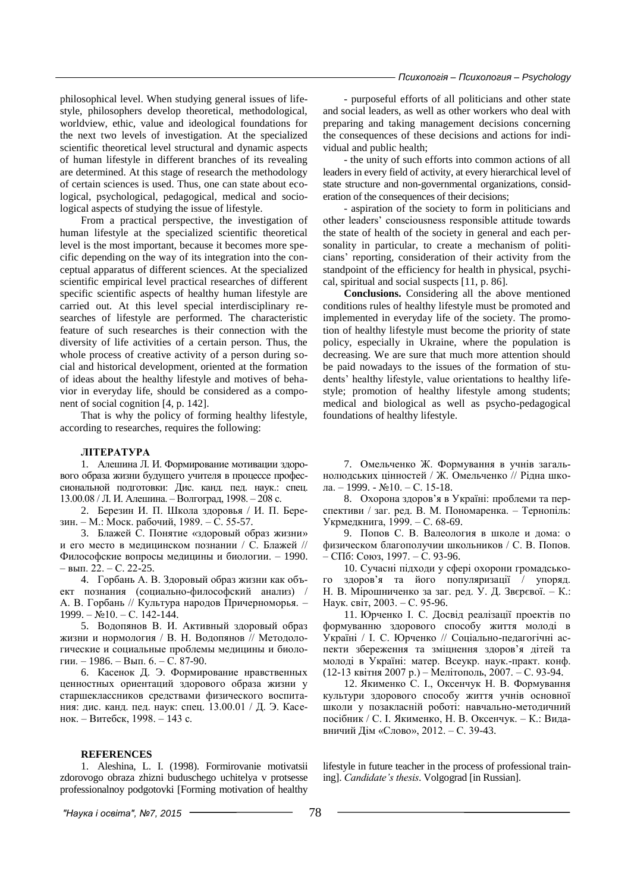philosophical level. When studying general issues of lifestyle, philosophers develop theoretical, methodological, worldview, ethic, value and ideological foundations for the next two levels of investigation. At the specialized scientific theoretical level structural and dynamic aspects of human lifestyle in different branches of its revealing are determined. At this stage of research the methodology of certain sciences is used. Thus, one can state about ecological, psychological, pedagogical, medical and sociological aspects of studying the issue of lifestyle.

From a practical perspective, the investigation of human lifestyle at the specialized scientific theoretical level is the most important, because it becomes more specific depending on the way of its integration into the conceptual apparatus of different sciences. At the specialized scientific empirical level practical researches of different specific scientific aspects of healthy human lifestyle are carried out. At this level special interdisciplinary researches of lifestyle are performed. The characteristic feature of such researches is their connection with the diversity of life activities of a certain person. Thus, the whole process of creative activity of a person during social and historical development, oriented at the formation of ideas about the healthy lifestyle and motives of behavior in everyday life, should be considered as a component of social cognition [4, p. 142].

That is why the policy of forming healthy lifestyle, according to researches, requires the following:

#### **ЛІТЕРАТУРА**

1. Алешина Л. И. Формирование мотивации здорового образа жизни будущего учителя в процессе профессиональной подготовки: Дис. канд. пед. наук.: спец. 13.00.08 / Л. И. Алешина. – Волгоград, 1998. – 208 с.

2. Березин И. П. Школа здоровья / И. П. Березин. – М.: Моск. рабочий, 1989. – С. 55-57.

3. Блажей С. Понятие «здоровый образ жизни» и его место в медицинском познании / С. Блажей // Философские вопросы медицины и биологии. – 1990. – вып. 22. – С. 22-25.

4. Горбань А. В. Здоровый образ жизни как объект познания (социально-философский анализ) / А. В. Горбань // Культура народов Причерноморья. – 1999. – №10. – С. 142-144.

5. Водопянов В. И. Активный здоровый образ жизни и нормология / В. Н. Водопянов // Методологические и социальные проблемы медицины и биологии. – 1986. – Вып. 6. – С. 87-90.

6. Касенок Д. Э. Формирование нравственных ценностных ориентаций здорового образа жизни у старшеклассников средствами физического воспитания: дис. канд. пед. наук: спец. 13.00.01 / Д. Э. Касенок. – Витебск, 1998. – 143 с.

#### **REFERENCES**

1. Aleshina, L. I. (1998). Formirovanie motivatsii zdorovogo obraza zhizni buduschego uchitelya v protsesse professionalnoy podgotovki [Forming motivation of healthy

- purposeful efforts of all politicians and other state and social leaders, as well as other workers who deal with preparing and taking management decisions concerning the consequences of these decisions and actions for individual and public health;

- the unity of such efforts into common actions of all leaders in every field of activity, at every hierarchical level of state structure and non-governmental organizations, consideration of the consequences of their decisions;

- aspiration of the society to form in politicians and other leaders' consciousness responsible attitude towards the state of health of the society in general and each personality in particular, to create a mechanism of politicians' reporting, consideration of their activity from the standpoint of the efficiency for health in physical, psychical, spiritual and social suspects [11, p. 86].

**Conclusions.** Considering all the above mentioned conditions rules of healthy lifestyle must be promoted and implemented in everyday life of the society. The promotion of healthy lifestyle must become the priority of state policy, especially in Ukraine, where the population is decreasing. We are sure that much more attention should be paid nowadays to the issues of the formation of students' healthy lifestyle, value orientations to healthy lifestyle; promotion of healthy lifestyle among students; medical and biological as well as psycho-pedagogical foundations of healthy lifestyle.

7. Омельченко Ж. Формування в учнів загальнолюдських цінностей / Ж. Омельченко // Рідна школа. – 1999. - №10. – С. 15-18.

8. Охорона здоров'я в Україні: проблеми та перспективи / заг. ред. В. М. Пономаренка. – Тернопіль: Укрмедкнига, 1999. – С. 68-69.

9. Попов С. В. Валеология в школе и дома: о физическом благополучии школьников / С. В. Попов. – СПб: Союз, 1997. – С. 93-96.

10. Сучасні підходи у сфері охорони громадського здоров'я та його популяризації / упоряд. Н. В. Мірошниченко за заг. ред. У. Д. Звєрєвої. – К.: Наук. світ, 2003. – С. 95-96.

11. Юрченко І. С. Досвід реалізації проектів по формуванню здорового способу життя молоді в Україні / І. С. Юрченко // Соціально-педагогічні аспекти збереження та зміцнення здоров'я дітей та молоді в Україні: матер. Всеукр. наук.-практ. конф. (12-13 квітня 2007 р.) – Мелітополь, 2007. – С. 93-94.

12. Якименко С. І., Оксенчук Н. В. Формування культури здорового способу життя учнів основної школи у позакласній роботі: навчально-методичний посібник / С. І. Якименко, Н. В. Оксенчук. – К.: Видавничий Дім «Слово», 2012. – С. 39-43.

lifestyle in future teacher in the process of professional training]. *Candidate's thesis*. Volgograd [in Russian].

*"Наука і освіта", №7, 2015* 78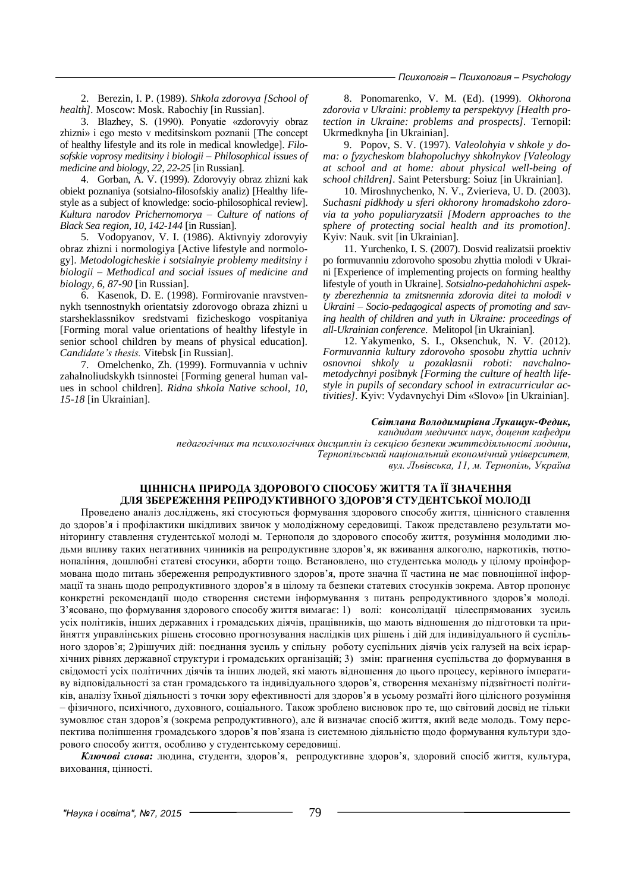2. Berezin, I. P. (1989). *Shkola zdorovya [School of health].* Moscow: Mosk. Rabochiy [in Russian].

3. Blazhey, S. (1990). Ponyatie «zdorovyiy obraz zhizni» i ego mesto v meditsinskom poznanii [The concept of healthy lifestyle and its role in medical knowledge]. *Filosofskie voprosy meditsiny i biologii – Philosophical issues of medicine and biology, 22, 22-25* [in Russian].

4. Gorban, A. V. (1999). Zdorovyiy obraz zhizni kak obiekt poznaniya (sotsialno-filosofskiy analiz) [Healthy lifestyle as a subject of knowledge: socio-philosophical review]. *Kultura narodov Prichernomorya – Culture of nations of Black Sea region, 10, 142-144* [in Russian].

5. Vodopyanov, V. I. (1986). Aktivnyiy zdorovyiy obraz zhizni i normologiya [Active lifestyle and normology]. *Metodologicheskie i sotsialnyie problemy meditsiny i biologii – Methodical and social issues of medicine and biology, 6, 87-90* [in Russian].

6. Kasenok, D. E. (1998). Formirovanie nravstvennykh tsennostnykh orientatsiy zdorovogo obraza zhizni u starsheklassnikov sredstvami fizicheskogo vospitaniya [Forming moral value orientations of healthy lifestyle in senior school children by means of physical education]. *Candidate's thesis.* Vitebsk [in Russian].

7. Omelchenko, Zh. (1999). Formuvannia v uchniv zahalnoliudskykh tsinnostei [Forming general human values in school children]. *Ridna shkola Native school, 10, 15-18* [in Ukrainian].

8. Ponomarenko, V. M. (Ed). (1999). *Okhorona zdorovia v Ukraini: problemy ta perspektyvy [Health protection in Ukraine: problems and prospects].* Ternopil: Ukrmedknyha [in Ukrainian].

9. Popov, S. V. (1997). *Valeolohyia v shkole y doma: o fyzycheskom blahopoluchyy shkolnykov [Valeology at school and at home: about physical well-being of school children].* Saint Petersburg: Soiuz [in Ukrainian].

10. Miroshnychenko, N. V., Zvierieva, U. D. (2003). *Suchasni pidkhody u sferi okhorony hromadskoho zdorovia ta yoho populiaryzatsii [Modern approaches to the sphere of protecting social health and its promotion].* Kyiv: Nauk. svit [in Ukrainian].

11. Yurchenko, I. S. (2007). Dosvid realizatsii proektiv po formuvanniu zdorovoho sposobu zhyttia molodi v Ukraini [Experience of implementing projects on forming healthy lifestyle of youth in Ukraine]. *Sotsialno-pedahohichni aspekty zberezhennia ta zmitsnennia zdorovia ditei ta molodi v Ukraini – Socio-pedagogical aspects of promoting and saving health of children and yuth in Ukraine: proceedings of all-Ukrainian conference*. Melitopol [in Ukrainian].

12. Yakymenko, S. I., Oksenchuk, N. V. (2012). *Formuvannia kultury zdorovoho sposobu zhyttia uchniv osnovnoi shkoly u pozaklasnii roboti: navchalnometodychnyi posibnyk [Forming the culture of health lifestyle in pupils of secondary school in extracurricular activities].* Kyiv: Vydavnychyi Dim «Slovo» [in Ukrainian].

#### *Світлана Володимирівна Лукащук-Федик,*

*кандидат медичних наук, доцент кафедри педагогічних та психологічних дисциплін із секцією безпеки життєдіяльності людини, Тернопільський національний економічний університет,* 

*вул. Львівська, 11, м. Тернопіль, Україна*

### **ЦІННІСНА ПРИРОДА ЗДОРОВОГО СПОСОБУ ЖИТТЯ ТА ЇЇ ЗНАЧЕННЯ ДЛЯ ЗБЕРЕЖЕННЯ РЕПРОДУКТИВНОГО ЗДОРОВ'Я СТУДЕНТСЬКОЇ МОЛОДІ**

Проведено аналіз досліджень, які стосуються формування здорового способу життя, ціннісного ставлення до здоров'я і профілактики шкідливих звичок у молодіжному середовищі. Також представлено результати моніторингу ставлення студентської молоді м. Тернополя до здорового способу життя, розуміння молодими людьми впливу таких негативних чинників на репродуктивне здоров'я, як вживання алкоголю, наркотиків, тютюнопаління, дошлюбні статеві стосунки, аборти тощо. Встановлено, що студентська молодь у цілому проінформована щодо питань збереження репродуктивного здоров'я, проте значна її частина не має повноцінної інформації та знань щодо репродуктивного здоров'я в цілому та безпеки статевих стосунків зокрема. Автор пропонує конкретні рекомендації щодо створення системи інформування з питань репродуктивного здоров'я молоді. З'ясовано, що формування здорового способу життя вимагає: 1) волі: консолідації цілеспрямованих зусиль усіх політиків, інших державних і громадських діячів, працівників, що мають відношення до підготовки та прийняття управлінських рішень стосовно прогнозування наслідків цих рішень і дій для індивідуального й суспільного здоров'я; 2)рішучих дій: поєднання зусиль у спільну роботу суспільних діячів усіх галузей на всіх ієрархічних рівнях державної структури і громадських організацій; 3) змін: прагнення суспільства до формування в свідомості усіх політичних діячів та інших людей, які мають відношення до цього процесу, керівного імперативу відповідальності за стан громадського та індивідуального здоров'я, створення механізму підзвітності політиків, аналізу їхньої діяльності з точки зору ефективності для здоров'я в усьому розмаїті його цілісного розуміння – фізичного, психічного, духовного, соціального. Також зроблено висновок про те, що світовий досвід не тільки зумовлює стан здоров'я (зокрема репродуктивного), але й визначає спосіб життя, який веде молодь. Тому перспектива поліпшення громадського здоров'я пов'язана із системною діяльністю щодо формування культури здорового способу життя, особливо у студентському середовищі.

*Ключові слова:* людина, студенти, здоров'я, репродуктивне здоров'я, здоровий спосіб життя, культура, виховання, цінності.

*"Наука і освіта", №7, 2015* 79